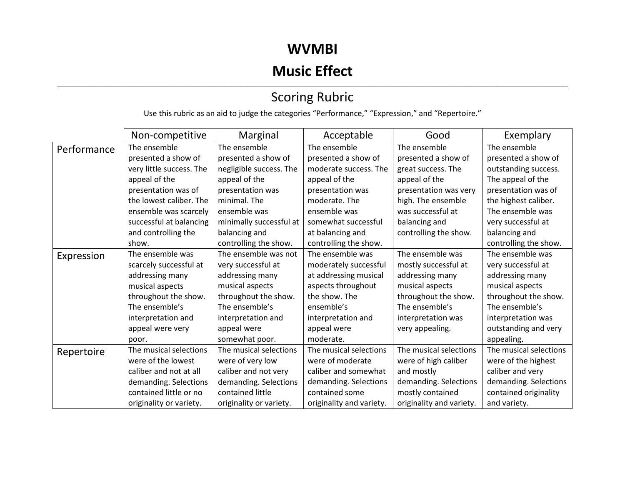## **WVMBI**

# **Music Effect**

#### ,我们也不会不会不会。""我们的,我们也不会不会不会不会不会不会不会不会。""我们的,我们也不会不会不会不会不会不会不会不会。""我们的,我们也不会不会不会不会 Scoring Rubric

Use this rubric as an aid to judge the categories "Performance," "Expression," and "Repertoire."

|             | Non-competitive          | Marginal                | Acceptable               | Good                     | Exemplary              |
|-------------|--------------------------|-------------------------|--------------------------|--------------------------|------------------------|
| Performance | The ensemble             | The ensemble            | The ensemble             | The ensemble             | The ensemble           |
|             | presented a show of      | presented a show of     | presented a show of      | presented a show of      | presented a show of    |
|             | very little success. The | negligible success. The | moderate success. The    | great success. The       | outstanding success.   |
|             | appeal of the            | appeal of the           | appeal of the            | appeal of the            | The appeal of the      |
|             | presentation was of      | presentation was        | presentation was         | presentation was very    | presentation was of    |
|             | the lowest caliber. The  | minimal. The            | moderate. The            | high. The ensemble       | the highest caliber.   |
|             | ensemble was scarcely    | ensemble was            | ensemble was             | was successful at        | The ensemble was       |
|             | successful at balancing  | minimally successful at | somewhat successful      | balancing and            | very successful at     |
|             | and controlling the      | balancing and           | at balancing and         | controlling the show.    | balancing and          |
|             | show.                    | controlling the show.   | controlling the show.    |                          | controlling the show.  |
| Expression  | The ensemble was         | The ensemble was not    | The ensemble was         | The ensemble was         | The ensemble was       |
|             | scarcely successful at   | very successful at      | moderately successful    | mostly successful at     | very successful at     |
|             | addressing many          | addressing many         | at addressing musical    | addressing many          | addressing many        |
|             | musical aspects          | musical aspects         | aspects throughout       | musical aspects          | musical aspects        |
|             | throughout the show.     | throughout the show.    | the show. The            | throughout the show.     | throughout the show.   |
|             | The ensemble's           | The ensemble's          | ensemble's               | The ensemble's           | The ensemble's         |
|             | interpretation and       | interpretation and      | interpretation and       | interpretation was       | interpretation was     |
|             | appeal were very         | appeal were             | appeal were              | very appealing.          | outstanding and very   |
|             | poor.                    | somewhat poor.          | moderate.                |                          | appealing.             |
| Repertoire  | The musical selections   | The musical selections  | The musical selections   | The musical selections   | The musical selections |
|             | were of the lowest       | were of very low        | were of moderate         | were of high caliber     | were of the highest    |
|             | caliber and not at all   | caliber and not very    | caliber and somewhat     | and mostly               | caliber and very       |
|             | demanding. Selections    | demanding. Selections   | demanding. Selections    | demanding. Selections    | demanding. Selections  |
|             | contained little or no   | contained little        | contained some           | mostly contained         | contained originality  |
|             | originality or variety.  | originality or variety. | originality and variety. | originality and variety. | and variety.           |